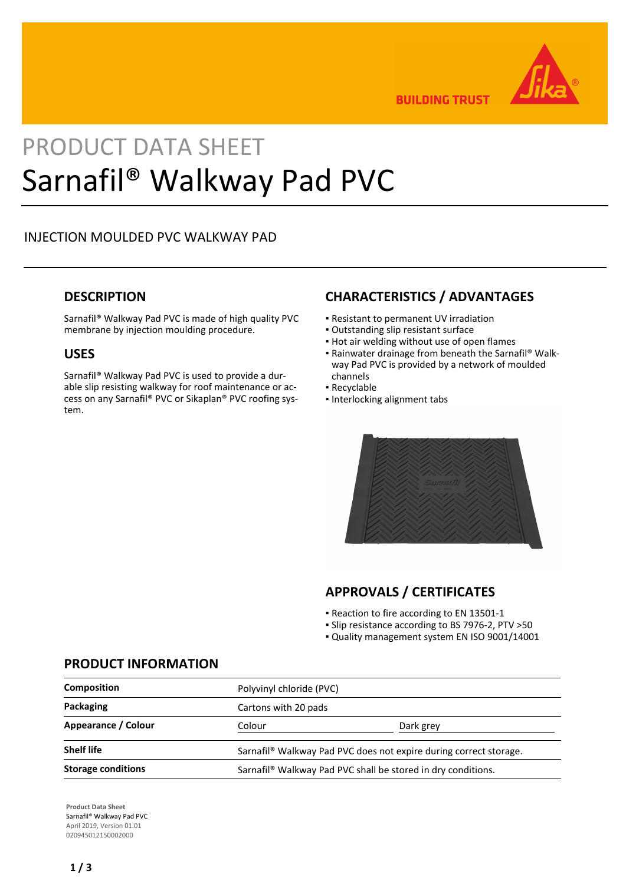

**BUILDING TRUST** 

# PRODUCT DATA SHEET Sarnafil® Walkway Pad PVC

# INJECTION MOULDED PVC WALKWAY PAD

## **DESCRIPTION**

Sarnafil® Walkway Pad PVC is made of high quality PVC membrane by injection moulding procedure.

## **USES**

Sarnafil® Walkway Pad PVC is used to provide a durable slip resisting walkway for roof maintenance or access on any Sarnafil® PVC or Sikaplan® PVC roofing system.

## **CHARACTERISTICS / ADVANTAGES**

- Resistant to permanent UV irradiation
- Outstanding slip resistant surface
- **.** Hot air welding without use of open flames
- Rainwater drainage from beneath the Sarnafil® Walk-▪ way Pad PVC is provided by a network of moulded channels
- Recyclable
- Interlocking alignment tabs



# **APPROVALS / CERTIFICATES**

- Reaction to fire according to EN 13501-1
- Slip resistance according to BS 7976-2, PTV >50
- Quality management system EN ISO 9001/14001

## **PRODUCT INFORMATION**

| <b>Composition</b>        | Polyvinyl chloride (PVC)                                                      |           |
|---------------------------|-------------------------------------------------------------------------------|-----------|
| Packaging                 | Cartons with 20 pads                                                          |           |
| Appearance / Colour       | Colour                                                                        | Dark grey |
| <b>Shelf life</b>         | Sarnafil <sup>®</sup> Walkway Pad PVC does not expire during correct storage. |           |
| <b>Storage conditions</b> | Sarnafil <sup>®</sup> Walkway Pad PVC shall be stored in dry conditions.      |           |

**Product Data Sheet** Sarnafil® Walkway Pad PVC April 2019, Version 01.01 020945012150002000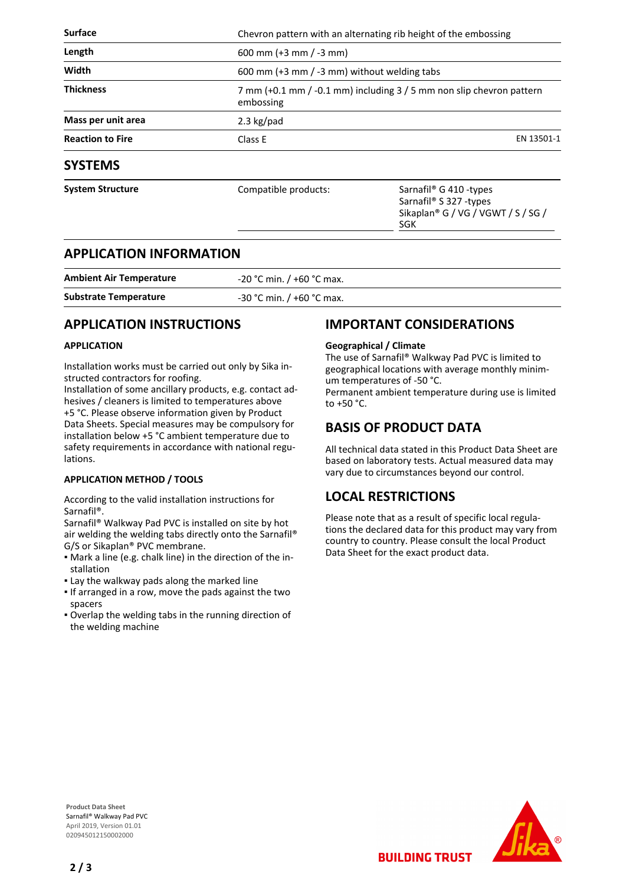| <b>Surface</b>          |                                                                                   | Chevron pattern with an alternating rib height of the embossing                                                       |  |
|-------------------------|-----------------------------------------------------------------------------------|-----------------------------------------------------------------------------------------------------------------------|--|
| Length                  | 600 mm (+3 mm / -3 mm)                                                            |                                                                                                                       |  |
| Width                   |                                                                                   | 600 mm (+3 mm / -3 mm) without welding tabs                                                                           |  |
| <b>Thickness</b>        | 7 mm (+0.1 mm / -0.1 mm) including 3 / 5 mm non slip chevron pattern<br>embossing |                                                                                                                       |  |
| Mass per unit area      | 2.3 $kg$ /pad                                                                     |                                                                                                                       |  |
| <b>Reaction to Fire</b> | Class E                                                                           | EN 13501-1                                                                                                            |  |
| <b>SYSTEMS</b>          |                                                                                   |                                                                                                                       |  |
| <b>System Structure</b> | Compatible products:                                                              | Sarnafil <sup>®</sup> G 410 -types<br>Sarnafil <sup>®</sup> S 327 -types<br>Sikaplan® G / VG / VGWT / S / SG /<br>SGK |  |

## **APPLICATION INFORMATION**

| <b>Ambient Air Temperature</b> | $-20$ °C min. / +60 °C max. |
|--------------------------------|-----------------------------|
| <b>Substrate Temperature</b>   | $-30$ °C min. / +60 °C max. |

# **APPLICATION INSTRUCTIONS**

#### **APPLICATION**

Installation works must be carried out only by Sika instructed contractors for roofing.

Installation of some ancillary products, e.g. contact adhesives / cleaners is limited to temperatures above +5 °C. Please observe information given by Product Data Sheets. Special measures may be compulsory for installation below +5 °C ambient temperature due to safety requirements in accordance with national regulations.

#### **APPLICATION METHOD / TOOLS**

According to the valid installation instructions for Sarnafil®.

Sarnafil® Walkway Pad PVC is installed on site by hot air welding the welding tabs directly onto the Sarnafil® G/S or Sikaplan® PVC membrane.

- Mark a line (e.g. chalk line) in the direction of the in-▪ stallation
- . Lay the walkway pads along the marked line
- **.** If arranged in a row, move the pads against the two spacers
- Overlap the welding tabs in the running direction of the welding machine

## **IMPORTANT CONSIDERATIONS**

#### **Geographical / Climate**

The use of Sarnafil® Walkway Pad PVC is limited to geographical locations with average monthly minimum temperatures of -50 °C. Permanent ambient temperature during use is limited to +50 °C.

# **BASIS OF PRODUCT DATA**

All technical data stated in this Product Data Sheet are based on laboratory tests. Actual measured data may vary due to circumstances beyond our control.

# **LOCAL RESTRICTIONS**

Please note that as a result of specific local regulations the declared data for this product may vary from country to country. Please consult the local Product Data Sheet for the exact product data.

**BUILDING TRUST** 

**Product Data Sheet** Sarnafil® Walkway Pad PVC April 2019, Version 01.01 020945012150002000